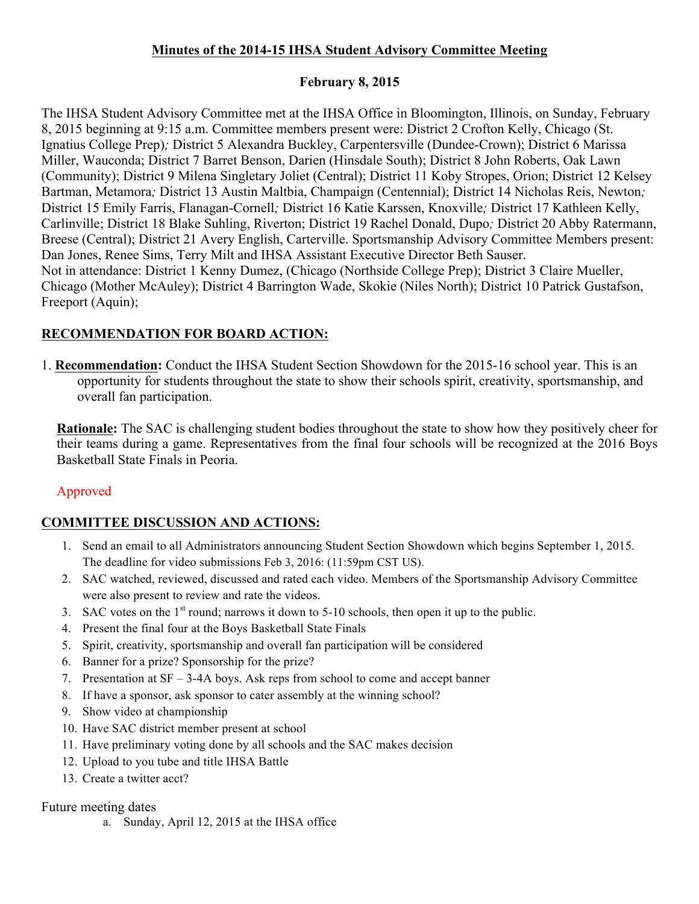# **Minutes of the 2014-15 IHSA Student Advisory Committee Meeting**

# **February 8, 2015**

The IHSA Student Advisory Committee met at the IHSA Office in Bloomington, Illinois, on Sunday, February 8, 2015 beginning at 9:15 a.m. Committee members present were: District 2 Crofton Kelly, Chicago (St. Ignatius College Prep)*;* District 5 Alexandra Buckley, Carpentersville (Dundee-Crown); District 6 Marissa Miller, Wauconda; District 7 Barret Benson, Darien (Hinsdale South); District 8 John Roberts, Oak Lawn (Community); District 9 Milena Singletary Joliet (Central); District 11 Koby Stropes, Orion; District 12 Kelsey Bartman, Metamora*;* District 13 Austin Maltbia, Champaign (Centennial); District 14 Nicholas Reis, Newton*;*  District 15 Emily Farris, Flanagan-Cornell*;* District 16 Katie Karssen, Knoxville*;* District 17 Kathleen Kelly, Carlinville; District 18 Blake Suhling, Riverton; District 19 Rachel Donald, Dupo*;* District 20 Abby Ratermann, Breese (Central); District 21 Avery English, Carterville. Sportsmanship Advisory Committee Members present: Dan Jones, Renee Sims, Terry Milt and IHSA Assistant Executive Director Beth Sauser. Not in attendance: District 1 Kenny Dumez, (Chicago (Northside College Prep); District 3 Claire Mueller, Chicago (Mother McAuley); District 4 Barrington Wade, Skokie (Niles North); District 10 Patrick Gustafson, Freeport (Aquin);

# **RECOMMENDATION FOR BOARD ACTION:**

1. **Recommendation:** Conduct the IHSA Student Section Showdown for the 2015-16 school year. This is an opportunity for students throughout the state to show their schools spirit, creativity, sportsmanship, and overall fan participation.

**Rationale:** The SAC is challenging student bodies throughout the state to show how they positively cheer for their teams during a game. Representatives from the final four schools will be recognized at the 2016 Boys Basketball State Finals in Peoria.

# Approved

# **COMMITTEE DISCUSSION AND ACTIONS:**

- 1. Send an email to all Administrators announcing Student Section Showdown which begins September 1, 2015. The deadline for video submissions Feb 3, 2016: (11:59pm CST US).
- 2. SAC watched, reviewed, discussed and rated each video. Members of the Sportsmanship Advisory Committee were also present to review and rate the videos.
- 3. SAC votes on the  $1<sup>st</sup>$  round; narrows it down to 5-10 schools, then open it up to the public.
- 4. Present the final four at the Boys Basketball State Finals
- 5. Spirit, creativity, sportsmanship and overall fan participation will be considered
- 6. Banner for a prize? Sponsorship for the prize?
- 7. Presentation at SF 3-4A boys. Ask reps from school to come and accept banner
- 8. If have a sponsor, ask sponsor to cater assembly at the winning school?
- 9. Show video at championship
- 10. Have SAC district member present at school
- 11. Have preliminary voting done by all schools and the SAC makes decision
- 12. Upload to you tube and title IHSA Battle
- 13. Create a twitter acct?

# Future meeting dates

a. Sunday, April 12, 2015 at the IHSA office